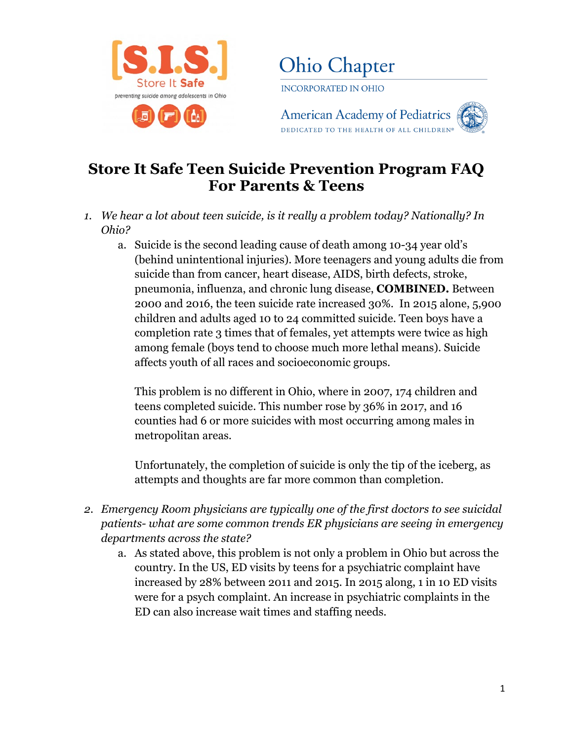



### **Store It Safe Teen Suicide Prevention Program FAQ For Parents & Teens**

- *1. We hear a lot about teen suicide, is it really a problem today? Nationally? In Ohio?*
	- a. Suicide is the second leading cause of death among 10-34 year old's (behind unintentional injuries). More teenagers and young adults die from suicide than from cancer, heart disease, AIDS, birth defects, stroke, pneumonia, influenza, and chronic lung disease, **COMBINED.** Between 2000 and 2016, the teen suicide rate increased 30%. In 2015 alone, 5,900 children and adults aged 10 to 24 committed suicide. Teen boys have a completion rate 3 times that of females, yet attempts were twice as high among female (boys tend to choose much more lethal means). Suicide affects youth of all races and socioeconomic groups.

This problem is no different in Ohio, where in 2007, 174 children and teens completed suicide. This number rose by 36% in 2017, and 16 counties had 6 or more suicides with most occurring among males in metropolitan areas.

Unfortunately, the completion of suicide is only the tip of the iceberg, as attempts and thoughts are far more common than completion.

- *2. Emergency Room physicians are typically one of the first doctors to see suicidal patients- what are some common trends ER physicians are seeing in emergency departments across the state?*
	- a. As stated above, this problem is not only a problem in Ohio but across the country. In the US, ED visits by teens for a psychiatric complaint have increased by 28% between 2011 and 2015. In 2015 along, 1 in 10 ED visits were for a psych complaint. An increase in psychiatric complaints in the ED can also increase wait times and staffing needs.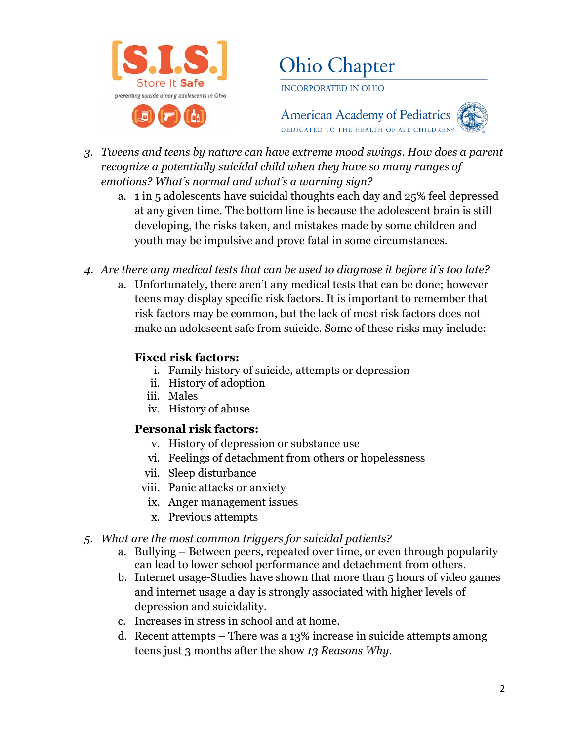

## **Ohio Chapter**

**INCORPORATED IN OHIO** 



- *3. Tweens and teens by nature can have extreme mood swings. How does a parent recognize a potentially suicidal child when they have so many ranges of emotions? What's normal and what's a warning sign?*
	- a. 1 in 5 adolescents have suicidal thoughts each day and 25% feel depressed at any given time. The bottom line is because the adolescent brain is still developing, the risks taken, and mistakes made by some children and youth may be impulsive and prove fatal in some circumstances.
- *4. Are there any medical tests that can be used to diagnose it before it's too late?*
	- a. Unfortunately, there aren't any medical tests that can be done; however teens may display specific risk factors. It is important to remember that risk factors may be common, but the lack of most risk factors does not make an adolescent safe from suicide. Some of these risks may include:

#### **Fixed risk factors:**

- i. Family history of suicide, attempts or depression
- ii. History of adoption
- iii. Males
- iv. History of abuse

### **Personal risk factors:**

- v. History of depression or substance use
- vi. Feelings of detachment from others or hopelessness
- vii. Sleep disturbance
- viii. Panic attacks or anxiety
- ix. Anger management issues
- x. Previous attempts
- *5. What are the most common triggers for suicidal patients?*
	- a. Bullying Between peers, repeated over time, or even through popularity can lead to lower school performance and detachment from others.
	- b. Internet usage-Studies have shown that more than 5 hours of video games and internet usage a day is strongly associated with higher levels of depression and suicidality.
	- c. Increases in stress in school and at home.
	- d. Recent attempts There was a 13% increase in suicide attempts among teens just 3 months after the show *13 Reasons Why.*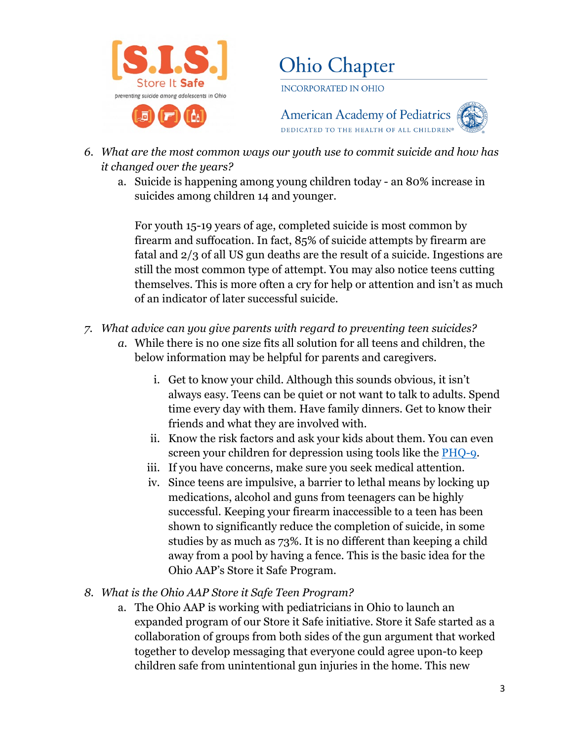

**Ohio Chapter INCORPORATED IN OHIO** 



- *6. What are the most common ways our youth use to commit suicide and how has it changed over the years?*
	- a. Suicide is happening among young children today an 80% increase in suicides among children 14 and younger.

For youth 15-19 years of age, completed suicide is most common by firearm and suffocation. In fact, 85% of suicide attempts by firearm are fatal and 2/3 of all US gun deaths are the result of a suicide. Ingestions are still the most common type of attempt. You may also notice teens cutting themselves. This is more often a cry for help or attention and isn't as much of an indicator of later successful suicide.

- *7. What advice can you give parents with regard to preventing teen suicides?*
	- *a.* While there is no one size fits all solution for all teens and children, the below information may be helpful for parents and caregivers.
		- i. Get to know your child. Although this sounds obvious, it isn't always easy. Teens can be quiet or not want to talk to adults. Spend time every day with them. Have family dinners. Get to know their friends and what they are involved with.
		- ii. Know the risk factors and ask your kids about them. You can even screen your children for depression using tools like the [PHQ-9.](http://www.pedpsychiatry.org/pdf/depression/PHQ-9%20Modified%20for%20Teens.pdf)
		- iii. If you have concerns, make sure you seek medical attention.
		- iv. Since teens are impulsive, a barrier to lethal means by locking up medications, alcohol and guns from teenagers can be highly successful. Keeping your firearm inaccessible to a teen has been shown to significantly reduce the completion of suicide, in some studies by as much as 73%. It is no different than keeping a child away from a pool by having a fence. This is the basic idea for the Ohio AAP's Store it Safe Program.
- *8. What is the Ohio AAP Store it Safe Teen Program?* 
	- a. The Ohio AAP is working with pediatricians in Ohio to launch an expanded program of our Store it Safe initiative. Store it Safe started as a collaboration of groups from both sides of the gun argument that worked together to develop messaging that everyone could agree upon-to keep children safe from unintentional gun injuries in the home. This new